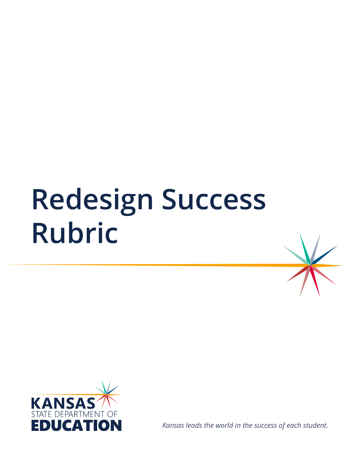# **Redesign Success Rubric**



*Kansas leads the world in the success of each student.*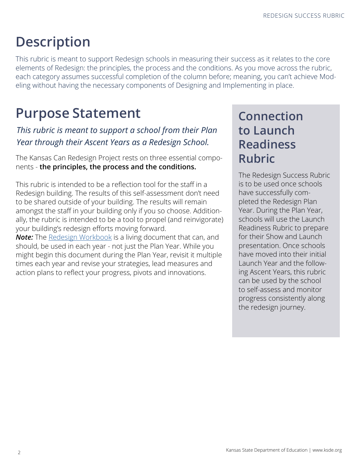# **Description**

This rubric is meant to support Redesign schools in measuring their success as it relates to the core elements of Redesign: the principles, the process and the conditions. As you move across the rubric, each category assumes successful completion of the column before; meaning, you can't achieve Modeling without having the necessary components of Designing and Implementing in place.

# **Purpose Statement**

#### *This rubric is meant to support a school from their Plan Year through their Ascent Years as a Redesign School.*

The Kansas Can Redesign Project rests on three essential components - **the principles, the process and the conditions.**

This rubric is intended to be a reflection tool for the staff in a Redesign building. The results of this self-assessment don't need to be shared outside of your building. The results will remain amongst the staff in your building only if you so choose. Additionally, the rubric is intended to be a tool to propel (and reinvigorate) your building's redesign efforts moving forward.

**Note:** The [Redesign Workbook](https://docs.google.com/presentation/d/18BMmKj4JOBJ5668q2gEvLLfFM4xn1scvtqsnTwkdVss/edit?usp=sharing) is a living document that can, and should, be used in each year - not just the Plan Year. While you might begin this document during the Plan Year, revisit it multiple times each year and revise your strategies, lead measures and action plans to reflect your progress, pivots and innovations.

## **Connection to Launch Readiness Rubric**

The Redesign Success Rubric is to be used once schools have successfully completed the Redesign Plan Year. During the Plan Year, schools will use the Launch Readiness Rubric to prepare for their Show and Launch presentation. Once schools have moved into their initial Launch Year and the following Ascent Years, this rubric can be used by the school to self-assess and monitor progress consistently along the redesign journey.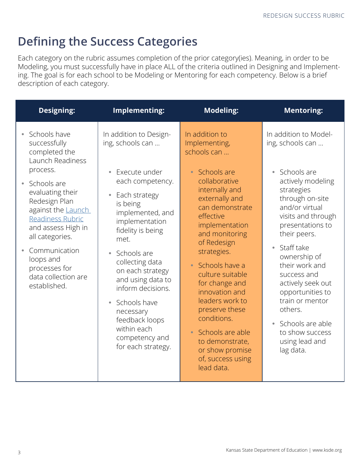# **Defining the Success Categories**

Each category on the rubric assumes completion of the prior category(ies). Meaning, in order to be Modeling, you must successfully have in place ALL of the criteria outlined in Designing and Implementing. The goal is for each school to be Modeling or Mentoring for each competency. Below is a brief description of each category.

| <b>Designing:</b>                                                                                                                                                                                                                                                                                          | Implementing:                                                                                                                                                                                                                                                                                                                                                                                                                | <b>Modeling:</b>                                                                                                                                                                                                                                                                                                                                                                                                                                      | <b>Mentoring:</b>                                                                                                                                                                                                                                                                                                                                                                                                                             |
|------------------------------------------------------------------------------------------------------------------------------------------------------------------------------------------------------------------------------------------------------------------------------------------------------------|------------------------------------------------------------------------------------------------------------------------------------------------------------------------------------------------------------------------------------------------------------------------------------------------------------------------------------------------------------------------------------------------------------------------------|-------------------------------------------------------------------------------------------------------------------------------------------------------------------------------------------------------------------------------------------------------------------------------------------------------------------------------------------------------------------------------------------------------------------------------------------------------|-----------------------------------------------------------------------------------------------------------------------------------------------------------------------------------------------------------------------------------------------------------------------------------------------------------------------------------------------------------------------------------------------------------------------------------------------|
| Schools have<br>successfully<br>completed the<br>Launch Readiness<br>process.<br>Schools are<br>evaluating their<br>Redesign Plan<br>against the Launch<br>Readiness Rubric<br>and assess High in<br>all categories.<br>Communication<br>loops and<br>processes for<br>data collection are<br>established. | In addition to Design-<br>ing, schools can<br>Execute under<br>$\bullet$<br>each competency.<br>Each strategy<br>is being<br>implemented, and<br>implementation<br>fidelity is being<br>met.<br>Schools are<br>$\bullet$<br>collecting data<br>on each strategy<br>and using data to<br>inform decisions.<br>Schools have<br>$\bullet$<br>necessary<br>feedback loops<br>within each<br>competency and<br>for each strategy. | In addition to<br>Implementing,<br>schools can<br>• Schools are<br>collaborative<br>internally and<br>externally and<br>can demonstrate<br>effective<br>implementation<br>and monitoring<br>of Redesign<br>strategies.<br>• Schools have a<br>culture suitable<br>for change and<br>innovation and<br>leaders work to<br>preserve these<br>conditions.<br>• Schools are able<br>to demonstrate,<br>or show promise<br>of, success using<br>lead data. | In addition to Model-<br>ing, schools can<br>Schools are<br>$\bullet$<br>actively modeling<br>strategies<br>through on-site<br>and/or virtual<br>visits and through<br>presentations to<br>their peers.<br>Staff take<br>$\bullet$<br>ownership of<br>their work and<br>success and<br>actively seek out<br>opportunities to<br>train or mentor<br>others.<br>Schools are able<br>$\bullet$<br>to show success<br>using lead and<br>lag data. |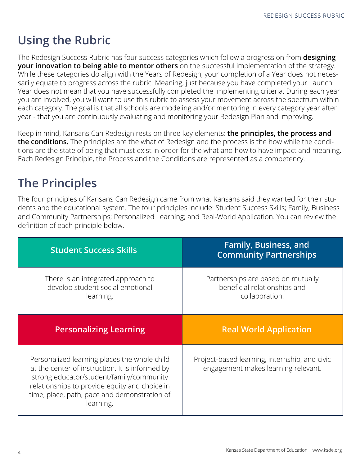# **Using the Rubric**

The Redesign Success Rubric has four success categories which follow a progression from **designing your innovation to being able to mentor others** on the successful implementation of the strategy. While these categories do align with the Years of Redesign, your completion of a Year does not necessarily equate to progress across the rubric. Meaning, just because you have completed your Launch Year does not mean that you have successfully completed the Implementing criteria. During each year you are involved, you will want to use this rubric to assess your movement across the spectrum within each category. The goal is that all schools are modeling and/or mentoring in every category year after year - that you are continuously evaluating and monitoring your Redesign Plan and improving.

Keep in mind, Kansans Can Redesign rests on three key elements: **the principles, the process and the conditions.** The principles are the what of Redesign and the process is the how while the conditions are the state of being that must exist in order for the what and how to have impact and meaning. Each Redesign Principle, the Process and the Conditions are represented as a competency.

# **The Principles**

The four principles of Kansans Can Redesign came from what Kansans said they wanted for their students and the educational system. The four principles include: Student Success Skills; Family, Business and Community Partnerships; Personalized Learning; and Real-World Application. You can review the definition of each principle below.

| <b>Student Success Skills</b>                                                                                                                                                                                                                | <b>Family, Business, and</b><br><b>Community Partnerships</b>                        |  |
|----------------------------------------------------------------------------------------------------------------------------------------------------------------------------------------------------------------------------------------------|--------------------------------------------------------------------------------------|--|
| There is an integrated approach to<br>develop student social-emotional<br>learning.                                                                                                                                                          | Partnerships are based on mutually<br>beneficial relationships and<br>collaboration. |  |
| <b>Personalizing Learning</b>                                                                                                                                                                                                                | <b>Real World Application</b>                                                        |  |
| Personalized learning places the whole child<br>at the center of instruction. It is informed by<br>strong educator/student/family/community<br>relationships to provide equity and choice in<br>time, place, path, pace and demonstration of | Project-based learning, internship, and civic<br>engagement makes learning relevant. |  |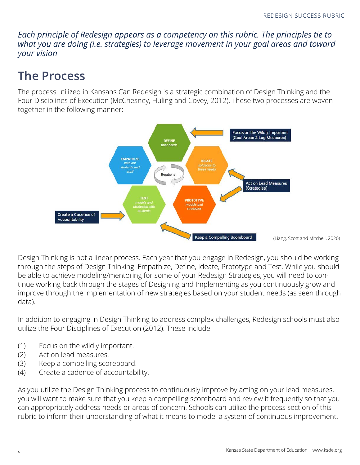*Each principle of Redesign appears as a competency on this rubric. The principles tie to what you are doing (i.e. strategies) to leverage movement in your goal areas and toward your vision*

## **The Process**

The process utilized in Kansans Can Redesign is a strategic combination of Design Thinking and the Four Disciplines of Execution (McChesney, Huling and Covey, 2012). These two processes are woven together in the following manner:



Design Thinking is not a linear process. Each year that you engage in Redesign, you should be working through the steps of Design Thinking: Empathize, Define, Ideate, Prototype and Test. While you should be able to achieve modeling/mentoring for some of your Redesign Strategies, you will need to continue working back through the stages of Designing and Implementing as you continuously grow and improve through the implementation of new strategies based on your student needs (as seen through data).

In addition to engaging in Design Thinking to address complex challenges, Redesign schools must also utilize the Four Disciplines of Execution (2012). These include:

- (1) Focus on the wildly important.
- (2) Act on lead measures.
- (3) Keep a compelling scoreboard.
- (4) Create a cadence of accountability.

As you utilize the Design Thinking process to continuously improve by acting on your lead measures, you will want to make sure that you keep a compelling scoreboard and review it frequently so that you can appropriately address needs or areas of concern. Schools can utilize the process section of this rubric to inform their understanding of what it means to model a system of continuous improvement.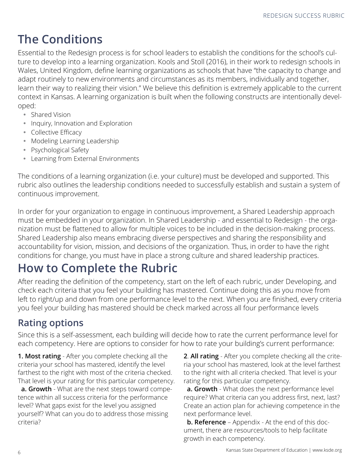# **The Conditions**

Essential to the Redesign process is for school leaders to establish the conditions for the school's culture to develop into a learning organization. Kools and Stoll (2016), in their work to redesign schools in Wales, United Kingdom, define learning organizations as schools that have "the capacity to change and adapt routinely to new environments and circumstances as its members, individually and together, learn their way to realizing their vision." We believe this definition is extremely applicable to the current context in Kansas. A learning organization is built when the following constructs are intentionally developed:

- Shared Vision
- Inquiry, Innovation and Exploration
- Collective Efficacy
- Modeling Learning Leadership
- Psychological Safety
- Learning from External Environments

The conditions of a learning organization (i.e. your culture) must be developed and supported. This rubric also outlines the leadership conditions needed to successfully establish and sustain a system of continuous improvement.

In order for your organization to engage in continuous improvement, a Shared Leadership approach must be embedded in your organization. In Shared Leadership - and essential to Redesign - the organization must be flattened to allow for multiple voices to be included in the decision-making process. Shared Leadership also means embracing diverse perspectives and sharing the responsibility and accountability for vision, mission, and decisions of the organization. Thus, in order to have the right conditions for change, you must have in place a strong culture and shared leadership practices.

# **How to Complete the Rubric**

After reading the definition of the competency, start on the left of each rubric, under Developing, and check each criteria that you feel your building has mastered. Continue doing this as you move from left to right/up and down from one performance level to the next. When you are finished, every criteria you feel your building has mastered should be check marked across all four performance levels

#### **Rating options**

Since this is a self-assessment, each building will decide how to rate the current performance level for each competency. Here are options to consider for how to rate your building's current performance:

**1. Most rating** - After you complete checking all the criteria your school has mastered, identify the level farthest to the right with most of the criteria checked. That level is your rating for this particular competency.

 **a. Growth** - What are the next steps toward competence within all success criteria for the performance level? What gaps exist for the level you assigned yourself? What can you do to address those missing criteria?

**2**. **All rating** - After you complete checking all the criteria your school has mastered, look at the level farthest to the right with all criteria checked. That level is your rating for this particular competency.

 **a. Growth** - What does the next performance level require? What criteria can you address first, next, last? Create an action plan for achieving competence in the next performance level.

 **b. Reference** – Appendix - At the end of this document, there are resources/tools to help facilitate growth in each competency.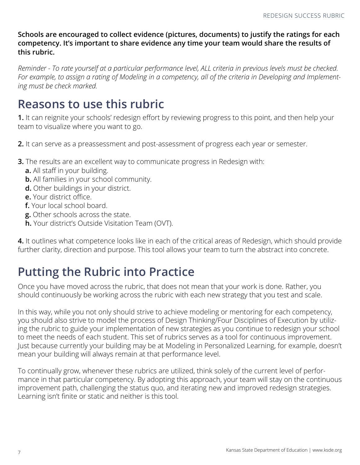**Schools are encouraged to collect evidence (pictures, documents) to justify the ratings for each competency. It's important to share evidence any time your team would share the results of this rubric.** 

*Reminder - To rate yourself at a particular performance level, ALL criteria in previous levels must be checked. For example, to assign a rating of Modeling in a competency, all of the criteria in Developing and Implementing must be check marked.* 

### **Reasons to use this rubric**

**1.** It can reignite your schools' redesign effort by reviewing progress to this point, and then help your team to visualize where you want to go.

- **2.** It can serve as a preassessment and post-assessment of progress each year or semester.
- **3.** The results are an excellent way to communicate progress in Redesign with:
	- **a.** All staff in your building.
	- **b.** All families in your school community.
	- **d.** Other buildings in your district.
	- **e.** Your district office.
	- **f.** Your local school board.
	- **g.** Other schools across the state.
	- **h.** Your district's Outside Visitation Team (OVT).

**4.** It outlines what competence looks like in each of the critical areas of Redesign, which should provide further clarity, direction and purpose. This tool allows your team to turn the abstract into concrete.

## **Putting the Rubric into Practice**

Once you have moved across the rubric, that does not mean that your work is done. Rather, you should continuously be working across the rubric with each new strategy that you test and scale.

In this way, while you not only should strive to achieve modeling or mentoring for each competency, you should also strive to model the process of Design Thinking/Four Disciplines of Execution by utilizing the rubric to guide your implementation of new strategies as you continue to redesign your school to meet the needs of each student. This set of rubrics serves as a tool for continuous improvement. Just because currently your building may be at Modeling in Personalized Learning, for example, doesn't mean your building will always remain at that performance level.

To continually grow, whenever these rubrics are utilized, think solely of the current level of performance in that particular competency. By adopting this approach, your team will stay on the continuous improvement path, challenging the status quo, and iterating new and improved redesign strategies. Learning isn't finite or static and neither is this tool.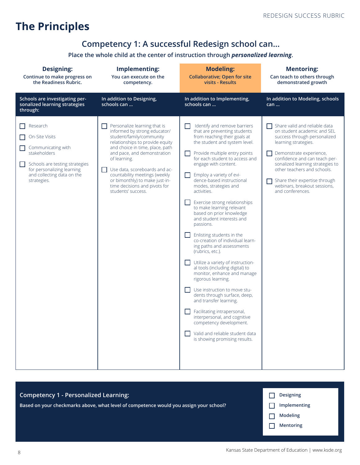### **The Principles**

#### **Competency 1: A successful Redesign school can…**

#### **Place the whole child at the center of instruction through** *personalized learning***.**

| <b>Designing:</b><br>Continue to make progress on<br>the Readiness Rubric.                                                                                                    | Implementing:<br>You can execute on the<br>competency.                                                                                                                                                                                                                                                                                                                   | <b>Modeling:</b><br><b>Collaborative; Open for site</b><br>visits - Results                                                                                                                                                                                                                                                                                                                                                                                                                                                                                                                                                                                                                                                                                                                                                                                                                                                                                          | <b>Mentoring:</b><br>Can teach to others through<br>demonstrated growth                                                                                                                                                                                                                                                                  |
|-------------------------------------------------------------------------------------------------------------------------------------------------------------------------------|--------------------------------------------------------------------------------------------------------------------------------------------------------------------------------------------------------------------------------------------------------------------------------------------------------------------------------------------------------------------------|----------------------------------------------------------------------------------------------------------------------------------------------------------------------------------------------------------------------------------------------------------------------------------------------------------------------------------------------------------------------------------------------------------------------------------------------------------------------------------------------------------------------------------------------------------------------------------------------------------------------------------------------------------------------------------------------------------------------------------------------------------------------------------------------------------------------------------------------------------------------------------------------------------------------------------------------------------------------|------------------------------------------------------------------------------------------------------------------------------------------------------------------------------------------------------------------------------------------------------------------------------------------------------------------------------------------|
| Schools are investigating per-<br>sonalized learning strategies<br>through:                                                                                                   | In addition to Designing,<br>schools can                                                                                                                                                                                                                                                                                                                                 | In addition to Implementing,<br>schools can                                                                                                                                                                                                                                                                                                                                                                                                                                                                                                                                                                                                                                                                                                                                                                                                                                                                                                                          | In addition to Modeling, schools<br>can                                                                                                                                                                                                                                                                                                  |
| Research<br>On-Site Visits<br>Communicating with<br>stakeholders<br>Schools are testing strategies<br>for personalizing learning<br>and collecting data on the<br>strategies. | Personalize learning that is<br>informed by strong educator/<br>student/family/community<br>relationships to provide equity<br>and choice in time, place, path<br>and pace, and demonstration<br>of learning.<br>Use data, scoreboards and ac-<br>countability meetings (weekly<br>or bimonthly) to make just-in-<br>time decisions and pivots for<br>students' success. | Identify and remove barriers<br>that are preventing students<br>from reaching their goals at<br>the student and system level.<br>Provide multiple entry points<br>for each student to access and<br>engage with content.<br>Employ a variety of evi-<br>dence-based instructional<br>modes, strategies and<br>activities.<br>Exercise strong relationships<br>to make learning relevant<br>based on prior knowledge<br>and student interests and<br>passions.<br>Enlisting students in the<br>co-creation of individual learn-<br>ing paths and assessments<br>(rubrics, etc.).<br>Utilize a variety of instruction-<br>al tools (including digital) to<br>monitor, enhance and manage<br>rigorous learning.<br>Use instruction to move stu-<br>dents through surface, deep,<br>and transfer learning.<br>Facilitating intrapersonal,<br>interpersonal, and cognitive<br>competency development.<br>Valid and reliable student data<br>is showing promising results. | Share valid and reliable data<br>on student academic and SEL<br>success through personalized<br>learning strategies.<br>Demonstrate experience,<br>confidence and can teach per-<br>sonalized learning strategies to<br>other teachers and schools.<br>Share their expertise through<br>webinars, breakout sessions,<br>and conferences. |

| Competency 1 - Personalized Learning:                                                  | <b>Designing</b> |
|----------------------------------------------------------------------------------------|------------------|
| Based on your checkmarks above, what level of competence would you assign your school? | Implementing     |
|                                                                                        | Modeling         |
|                                                                                        | <b>Mentoring</b> |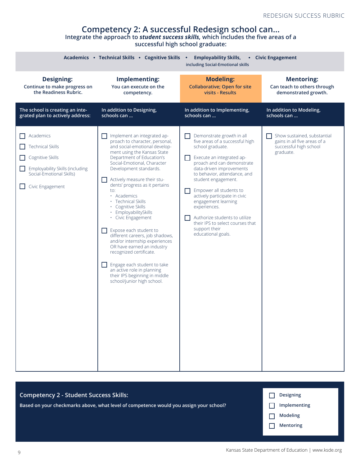#### **Competency 2: A successful Redesign school can…**

**Integrate the approach to** *student success skills,* **which includes the five areas of a** 

**successful high school graduate:**

|                                                                                                                                                    | Academics • Technical Skills • Cognitive Skills                                                                                                                                                                                                                                                                                                                                                                                                                                                                                                                                                                                                                                                              | <b>Employability Skills,</b><br>including Social-Emotional skills                                                                                                                                                                                                                                                                                                                                                                             | <b>Civic Engagement</b>                                                                            |
|----------------------------------------------------------------------------------------------------------------------------------------------------|--------------------------------------------------------------------------------------------------------------------------------------------------------------------------------------------------------------------------------------------------------------------------------------------------------------------------------------------------------------------------------------------------------------------------------------------------------------------------------------------------------------------------------------------------------------------------------------------------------------------------------------------------------------------------------------------------------------|-----------------------------------------------------------------------------------------------------------------------------------------------------------------------------------------------------------------------------------------------------------------------------------------------------------------------------------------------------------------------------------------------------------------------------------------------|----------------------------------------------------------------------------------------------------|
| <b>Designing:</b>                                                                                                                                  | Implementing:                                                                                                                                                                                                                                                                                                                                                                                                                                                                                                                                                                                                                                                                                                | <b>Modeling:</b>                                                                                                                                                                                                                                                                                                                                                                                                                              | <b>Mentoring:</b>                                                                                  |
| Continue to make progress on                                                                                                                       | You can execute on the                                                                                                                                                                                                                                                                                                                                                                                                                                                                                                                                                                                                                                                                                       | <b>Collaborative; Open for site</b>                                                                                                                                                                                                                                                                                                                                                                                                           | Can teach to others through                                                                        |
| the Readiness Rubric.                                                                                                                              | competency.                                                                                                                                                                                                                                                                                                                                                                                                                                                                                                                                                                                                                                                                                                  | visits - Results                                                                                                                                                                                                                                                                                                                                                                                                                              | demonstrated growth.                                                                               |
| The school is creating an inte-                                                                                                                    | In addition to Designing,                                                                                                                                                                                                                                                                                                                                                                                                                                                                                                                                                                                                                                                                                    | In addition to Implementing,                                                                                                                                                                                                                                                                                                                                                                                                                  | In addition to Modeling,                                                                           |
| grated plan to actively address:                                                                                                                   | schools can                                                                                                                                                                                                                                                                                                                                                                                                                                                                                                                                                                                                                                                                                                  | schools can                                                                                                                                                                                                                                                                                                                                                                                                                                   | schools can                                                                                        |
| Academics<br><b>Technical Skills</b><br>Cognitive Skills<br><b>Employability Skills (including</b><br>Social-Emotional Skills)<br>Civic Engagement | Implement an integrated ap-<br>proach to character, personal,<br>and social-emotional develop-<br>ment using the Kansas State<br>Department of Education's<br>Social-Emotional, Character<br>Development standards.<br>Actively measure their stu-<br>dents' progress as it pertains<br>to:<br>· Academics<br>• Technical Skills<br>· Cognitive Skills<br>· EmployabilitySkills<br>· Civic Engagement<br>Expose each student to<br>$\Box$<br>different careers, job shadows,<br>and/or internship experiences<br>OR have earned an industry<br>recognized certificate.<br>Engage each student to take<br>$\Box$<br>an active role in planning<br>their IPS beginning in middle<br>school/junior high school. | Demonstrate growth in all<br>five areas of a successful high<br>school graduate.<br>Execute an integrated ap-<br>proach and can demonstrate<br>data-driven improvements<br>to behavior, attendance, and<br>student engagement.<br>Empower all students to<br>actively participate in civic<br>engagement learning<br>experiences.<br>Authorize students to utilize<br>their IPS to select courses that<br>support their<br>educational goals. | Show sustained, substantial<br>gains in all five areas of a<br>successful high school<br>graduate. |

| Competency 2 - Student Success Skills:                                                 | <b>Designing</b> |
|----------------------------------------------------------------------------------------|------------------|
| Based on your checkmarks above, what level of competence would you assign your school? | Implementing     |
|                                                                                        | Modeling         |
|                                                                                        | <b>Mentoring</b> |
|                                                                                        |                  |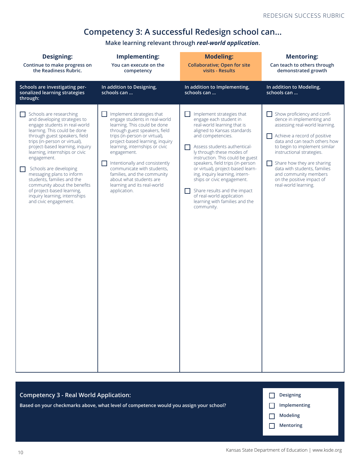#### **Competency 3: A successful Redesign school can…**

**Make learning relevant through** *real-world application***.**

| <b>Designing:</b><br>Continue to make progress on<br>the Readiness Rubric.                                                                                                                                                                                                                                                                                                                                                                                                                  | Implementing:<br>You can execute on the<br>competency                                                                                                                                                                                                                                                                                                                                                                     | <b>Modeling:</b><br><b>Collaborative; Open for site</b><br>visits - Results                                                                                                                                                                                                                                                                                                                                                                                                                             | <b>Mentoring:</b><br>Can teach to others through<br>demonstrated growth                                                                                                                                                                                                                                                                                               |
|---------------------------------------------------------------------------------------------------------------------------------------------------------------------------------------------------------------------------------------------------------------------------------------------------------------------------------------------------------------------------------------------------------------------------------------------------------------------------------------------|---------------------------------------------------------------------------------------------------------------------------------------------------------------------------------------------------------------------------------------------------------------------------------------------------------------------------------------------------------------------------------------------------------------------------|---------------------------------------------------------------------------------------------------------------------------------------------------------------------------------------------------------------------------------------------------------------------------------------------------------------------------------------------------------------------------------------------------------------------------------------------------------------------------------------------------------|-----------------------------------------------------------------------------------------------------------------------------------------------------------------------------------------------------------------------------------------------------------------------------------------------------------------------------------------------------------------------|
| Schools are investigating per-<br>sonalized learning strategies<br>through:                                                                                                                                                                                                                                                                                                                                                                                                                 | In addition to Designing,<br>schools can                                                                                                                                                                                                                                                                                                                                                                                  | In addition to Implementing,<br>schools can                                                                                                                                                                                                                                                                                                                                                                                                                                                             | In addition to Modeling,<br>schools can                                                                                                                                                                                                                                                                                                                               |
| Schools are researching<br>and developing strategies to<br>engage students in real-world<br>learning. This could be done<br>through guest speakers, field<br>trips (in-person or virtual),<br>project-based learning, inquiry<br>learning, internships or civic<br>engagement.<br>Schools are developing<br>messaging plans to inform<br>students, families and the<br>community about the benefits<br>of project-based learning,<br>inquiry learning, internships<br>and civic engagement. | Implement strategies that<br>engage students in real-world<br>learning. This could be done<br>through guest speakers, field<br>trips (in-person or virtual),<br>project-based learning, inquiry<br>learning, internships or civic<br>engagement.<br>Intentionally and consistently<br>communicate with students,<br>families, and the community<br>about what students are<br>learning and its real-world<br>application. | Implement strategies that<br>engage each student in<br>real-world learning that is<br>aligned to Kansas standards<br>and competencies.<br>Assess students authentical-<br>H<br>ly through these modes of<br>instruction. This could be guest<br>speakers, field trips (in-person<br>or virtual), project-based learn-<br>ing, inquiry learning, intern-<br>ships or civic engagement.<br>Share results and the impact<br>H<br>of real-world application<br>learning with families and the<br>community. | Show proficiency and confi-<br>dence in implementing and<br>assessing real-world learning.<br>Achieve a record of positive<br>data and can teach others how<br>to begin to implement similar<br>instructional strategies.<br>Share how they are sharing<br>data with students, families<br>and community members<br>on the positive impact of<br>real-world learning. |

| Competency 3 - Real World Application:                                                 | <b>Designing</b> |
|----------------------------------------------------------------------------------------|------------------|
| Based on your checkmarks above, what level of competence would you assign your school? | Implementing     |
|                                                                                        | Modeling         |
|                                                                                        | <b>Mentoring</b> |
|                                                                                        |                  |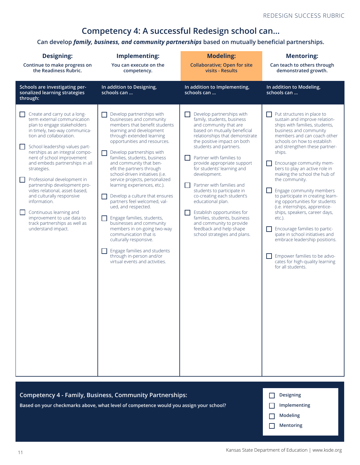#### **Competency 4: A successful Redesign school can…**

**Can develop** *family, business, and community partnerships* **based on mutually beneficial partnerships.**

| <b>Designing:</b><br>Continue to make progress on<br>the Readiness Rubric.                                                                                                                                                                                                                                                                                                                                                                                                                                                                                                                                                                | Implementing:<br>You can execute on the<br>competency.                                                                                                                                                                                                                                                                                                                                                                                                                                                                                                                                                                                                                                                                                                                              | <b>Modeling:</b><br><b>Collaborative; Open for site</b><br>visits - Results                                                                                                                                                                                                                                                                                                                                                                                                                                                                                                               | <b>Mentoring:</b><br>Can teach to others through<br>demonstrated growth.                                                                                                                                                                                                                                                                                                                                                                                                                                                                                                                                                                                                                                                                |
|-------------------------------------------------------------------------------------------------------------------------------------------------------------------------------------------------------------------------------------------------------------------------------------------------------------------------------------------------------------------------------------------------------------------------------------------------------------------------------------------------------------------------------------------------------------------------------------------------------------------------------------------|-------------------------------------------------------------------------------------------------------------------------------------------------------------------------------------------------------------------------------------------------------------------------------------------------------------------------------------------------------------------------------------------------------------------------------------------------------------------------------------------------------------------------------------------------------------------------------------------------------------------------------------------------------------------------------------------------------------------------------------------------------------------------------------|-------------------------------------------------------------------------------------------------------------------------------------------------------------------------------------------------------------------------------------------------------------------------------------------------------------------------------------------------------------------------------------------------------------------------------------------------------------------------------------------------------------------------------------------------------------------------------------------|-----------------------------------------------------------------------------------------------------------------------------------------------------------------------------------------------------------------------------------------------------------------------------------------------------------------------------------------------------------------------------------------------------------------------------------------------------------------------------------------------------------------------------------------------------------------------------------------------------------------------------------------------------------------------------------------------------------------------------------------|
| Schools are investigating per-<br>sonalized learning strategies<br>through:                                                                                                                                                                                                                                                                                                                                                                                                                                                                                                                                                               | In addition to Designing,<br>schools can                                                                                                                                                                                                                                                                                                                                                                                                                                                                                                                                                                                                                                                                                                                                            | In addition to Implementing,<br>schools can                                                                                                                                                                                                                                                                                                                                                                                                                                                                                                                                               | In addition to Modeling,<br>schools can                                                                                                                                                                                                                                                                                                                                                                                                                                                                                                                                                                                                                                                                                                 |
| Create and carry out a long-<br>$\mathsf{L}$<br>term external communication<br>plan to engage stakeholders<br>in timely, two-way communica-<br>tion and collaboration.<br>School leadership values part-<br>$\mathsf{L}$<br>nerships as an integral compo-<br>nent of school improvement<br>and embeds partnerships in all<br>strategies.<br>Professional development in<br>$\mathbb{R}^n$<br>partnership development pro-<br>vides relational, asset-based,<br>and culturally responsive<br>information.<br>Continuous learning and<br>$\mathsf{L}$<br>improvement to use data to<br>track partnerships as well as<br>understand impact. | Develop partnerships with<br>H<br>businesses and community<br>members that benefit students<br>learning and development<br>through extended learning<br>opportunities and resources.<br>Develop partnerships with<br>ΙI<br>families, students, business<br>and community that ben-<br>efit the partners through<br>school-driven initiatives (i.e.<br>service projects, personalized<br>learning experiences, etc.).<br>Develop a culture that ensures<br>$\mathsf{L}$<br>partners feel welcomed, val-<br>ued, and respected.<br>Engage families, students,<br>ΙI<br>businesses and community<br>members in on-going two-way<br>communication that is<br>culturally responsive.<br>Engage families and students<br>ΙI<br>through in-person and/or<br>virtual events and activities. | Develop partnerships with<br>family, students, business<br>and community that are<br>based on mutually beneficial<br>relationships that demonstrate<br>the positive impact on both<br>students and partners.<br>Partner with families to<br>provide appropriate support<br>for students' learning and<br>development.<br>Partner with families and<br>students to participate in<br>co-creating each student's<br>educational plan.<br>Establish opportunities for<br>families, students, business<br>and community to provide<br>feedback and help shape<br>school strategies and plans. | Put structures in place to<br>sustain and improve relation-<br>ships with families, students,<br>business and community<br>members and can coach other<br>schools on how to establish<br>and strengthen these partner-<br>ships.<br>Encourage community mem-<br>bers to play an active role in<br>making the school the hub of<br>the community.<br>Engage community members<br>to participate in creating learn-<br>ing opportunities for students<br>(i.e. internships, apprentice-<br>ships, speakers, career days,<br>$etc.$ ).<br>Encourage families to partic-<br>ipate in school initiatives and<br>embrace leadership positions.<br>$\Box$ Empower families to be advo-<br>cates for high-quality learning<br>for all students. |

| Competency 4 - Family, Business, Community Partnerships:                               | <b>Designing</b> |
|----------------------------------------------------------------------------------------|------------------|
| Based on your checkmarks above, what level of competence would you assign your school? | Implementing     |
|                                                                                        | Modeling         |
|                                                                                        | <b>Mentoring</b> |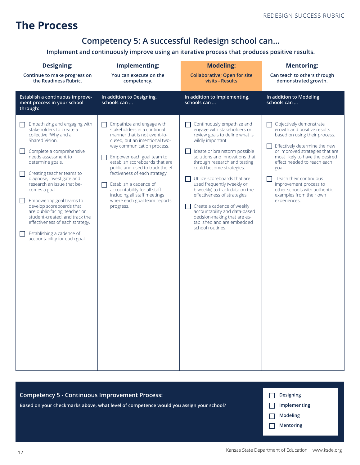#### **The Process**

#### **Competency 5: A successful Redesign school can…**

**Implement and continuously improve using an iterative process that produces positive results.**

| <b>Designing:</b><br>Continue to make progress on                                                                                                                                                                                                                                                                                                                                                                                                                                                                     | Implementing:<br>You can execute on the                                                                                                                                                                                                                                                                                                                                                                                                          | <b>Modeling:</b><br><b>Collaborative; Open for site</b>                                                                                                                                                                                                                                                                                                                                                                                                                                                                               | <b>Mentoring:</b><br>Can teach to others through                                                                                                                                                                                                                                                                                                                      |
|-----------------------------------------------------------------------------------------------------------------------------------------------------------------------------------------------------------------------------------------------------------------------------------------------------------------------------------------------------------------------------------------------------------------------------------------------------------------------------------------------------------------------|--------------------------------------------------------------------------------------------------------------------------------------------------------------------------------------------------------------------------------------------------------------------------------------------------------------------------------------------------------------------------------------------------------------------------------------------------|---------------------------------------------------------------------------------------------------------------------------------------------------------------------------------------------------------------------------------------------------------------------------------------------------------------------------------------------------------------------------------------------------------------------------------------------------------------------------------------------------------------------------------------|-----------------------------------------------------------------------------------------------------------------------------------------------------------------------------------------------------------------------------------------------------------------------------------------------------------------------------------------------------------------------|
| the Readiness Rubric.                                                                                                                                                                                                                                                                                                                                                                                                                                                                                                 | competency.                                                                                                                                                                                                                                                                                                                                                                                                                                      | visits - Results                                                                                                                                                                                                                                                                                                                                                                                                                                                                                                                      | demonstrated growth.                                                                                                                                                                                                                                                                                                                                                  |
| Establish a continuous improve-<br>ment process in your school<br>through:                                                                                                                                                                                                                                                                                                                                                                                                                                            | In addition to Designing,<br>schools can                                                                                                                                                                                                                                                                                                                                                                                                         | In addition to Implementing,<br>schools can                                                                                                                                                                                                                                                                                                                                                                                                                                                                                           | In addition to Modeling,<br>schools can                                                                                                                                                                                                                                                                                                                               |
| Empathizing and engaging with<br>stakeholders to create a<br>collective "Why and a<br>Shared Vision.<br>Complete a comprehensive<br>needs assessment to<br>determine goals.<br>Creating teacher teams to<br>diagnose, investigate and<br>research an issue that be-<br>comes a goal.<br>Empowering goal teams to<br>H<br>develop scoreboards that<br>are public-facing, teacher or<br>student-created, and track the<br>effectiveness of each strategy.<br>Establishing a cadence of<br>accountability for each goal. | Empathize and engage with<br>stakeholders in a continual<br>manner that is not event-fo-<br>cused, but an intentional two-<br>way communication process.<br>Empower each goal team to<br>- 1<br>establish scoreboards that are<br>public and used to track the ef-<br>fectiveness of each strategy.<br>Establish a cadence of<br>ΙI<br>accountability for all staff<br>including all staff meetings<br>where each goal team reports<br>progress. | Continuously empathize and<br>engage with stakeholders or<br>review goals to define what is<br>wildly important.<br>Ideate or brainstorm possible<br>solutions and innovations that<br>through research and testing<br>could become strategies.<br>Utilize scoreboards that are<br>used frequently (weekly or<br>biweekly) to track data on the<br>effectiveness of strategies.<br>Create a cadence of weekly<br>H<br>accountability and data-based<br>decision-making that are es-<br>tablished and are embedded<br>school routines. | Objectively demonstrate<br>growth and positive results<br>based on using their process.<br>Effectively determine the new<br>or improved strategies that are<br>most likely to have the desired<br>effect needed to reach each<br>goal.<br>Teach their continuous<br>improvement process to<br>other schools with authentic<br>examples from their own<br>experiences. |

| <b>Competency 5 - Continuous Improvement Process:</b>                                  | <b>Designing</b>                    |
|----------------------------------------------------------------------------------------|-------------------------------------|
| Based on your checkmarks above, what level of competence would you assign your school? | Implementing                        |
|                                                                                        | <b>Modeling</b><br><b>Mentoring</b> |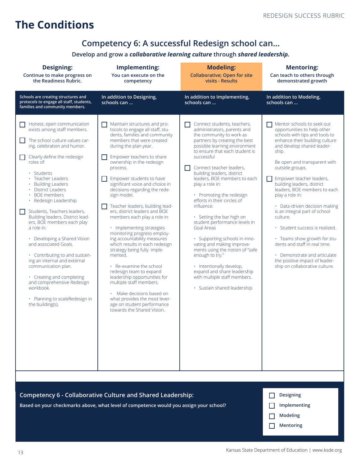#### **The Conditions**

#### **Competency 6: A successful Redesign school can…**

#### **Develop and grow a** *collaborative learning culture* **through** *shared leadership.*

| <b>Designing:</b><br>Continue to make progress on<br>the Readiness Rubric.                                                                                                                                                                                                                                                                                                                                                                                                                                                                                                                                                                                                                                              | <b>Implementing:</b><br>You can execute on the<br>competency                                                                                                                                                                                                                                                                                                                                                                                                                                                                                                                                                                                                                                                                                                                                                                                                       | <b>Modeling:</b><br><b>Collaborative; Open for site</b><br>visits - Results                                                                                                                                                                                                                                                                                                                                                                                                                                                                                                                                                                                                                                                | <b>Mentoring:</b><br>Can teach to others through<br>demonstrated growth                                                                                                                                                                                                                                                                                                                                                                                                                                                                                                                                                   |
|-------------------------------------------------------------------------------------------------------------------------------------------------------------------------------------------------------------------------------------------------------------------------------------------------------------------------------------------------------------------------------------------------------------------------------------------------------------------------------------------------------------------------------------------------------------------------------------------------------------------------------------------------------------------------------------------------------------------------|--------------------------------------------------------------------------------------------------------------------------------------------------------------------------------------------------------------------------------------------------------------------------------------------------------------------------------------------------------------------------------------------------------------------------------------------------------------------------------------------------------------------------------------------------------------------------------------------------------------------------------------------------------------------------------------------------------------------------------------------------------------------------------------------------------------------------------------------------------------------|----------------------------------------------------------------------------------------------------------------------------------------------------------------------------------------------------------------------------------------------------------------------------------------------------------------------------------------------------------------------------------------------------------------------------------------------------------------------------------------------------------------------------------------------------------------------------------------------------------------------------------------------------------------------------------------------------------------------------|---------------------------------------------------------------------------------------------------------------------------------------------------------------------------------------------------------------------------------------------------------------------------------------------------------------------------------------------------------------------------------------------------------------------------------------------------------------------------------------------------------------------------------------------------------------------------------------------------------------------------|
| Schools are creating structures and<br>protocols to engage all staff, students,<br>families and community members.                                                                                                                                                                                                                                                                                                                                                                                                                                                                                                                                                                                                      | In addition to Designing,<br>schools can                                                                                                                                                                                                                                                                                                                                                                                                                                                                                                                                                                                                                                                                                                                                                                                                                           | In addition to Implementing,<br>schools can                                                                                                                                                                                                                                                                                                                                                                                                                                                                                                                                                                                                                                                                                | In addition to Modeling,<br>schools can                                                                                                                                                                                                                                                                                                                                                                                                                                                                                                                                                                                   |
| Honest, open communication<br>П<br>exists among staff members.<br>The school culture values car-<br>H<br>ing, celebration and humor.<br>Clearly define the redesign<br>□<br>roles of:<br>• Students<br>· Teacher Leaders<br><b>Building Leaders</b><br>• District Leaders<br>· BOE members<br>· Redesign Leadership<br>Students, Teachers leaders,<br>П<br>Building leaders, District lead-<br>ers, BOE members each play<br>a role in:<br>• Developing a Shared Vision<br>and associated Goals.<br>• Contributing to and sustain-<br>ing an internal and external<br>communication plan.<br>• Creating and completing<br>and comprehensive Redesign<br>workbook.<br>· Planning to scaleRedesign in<br>the building(s). | Maintain structures and pro-<br>tocols to engage all staff, stu-<br>dents, families and community<br>members that were created<br>during the plan year.<br>Empower teachers to share<br>ownership in the redesign<br>process.<br>Empower students to have<br>significant voice and choice in<br>decisions regarding the rede-<br>sign model.<br>Teacher leaders, building lead-<br>ers, district leaders and BOE<br>members each play a role in:<br>· Implementing strategies<br>monitoring progress employ-<br>ing accountability measures<br>which results in each redesign<br>strategy being fully imple-<br>mented.<br>• Re-examine the school<br>redesign team to expand<br>leadership opportunities for<br>multiple staff members.<br>· Make decisions based on<br>what provides the most lever-<br>age on student performance<br>towards the Shared Vision. | Connect students, teachers,<br>administrators, parents and<br>the community to work as<br>partners by creating the best<br>possible learning environment<br>to ensure that each student is<br>successful<br>Connect teacher leaders,<br>building leaders, district<br>leaders, BOE members to each<br>play a role in:<br>• Promoting the redesign<br>efforts in their circles of<br>influence.<br>• Setting the bar high on<br>student performance levels in<br>Goal Areas<br>· Supporting schools in inno-<br>vating and making improve-<br>ments using the notion of "safe<br>enough to try."<br>· Intentionally develop,<br>expand and share leadership<br>with multiple staff members.<br>· Sustain shared leadership. | Mentor schools to seek out<br>opportunities to help other<br>schools with tips and tools to<br>enhance their building culture<br>and develop shared leader-<br>ship.<br>Be open and transparent with<br>outside groups.<br>Empower teacher leaders,<br>building leaders, district<br>leaders. BOE members to each<br>play a role in:<br>· Data-driven decision making<br>is an integral part of school<br>culture.<br>· Student success is realized.<br>• Teams show growth for stu-<br>dents and staff in real time.<br>• Demonstrate and articulate<br>the positive impact of leader-<br>ship on collaborative culture. |
|                                                                                                                                                                                                                                                                                                                                                                                                                                                                                                                                                                                                                                                                                                                         |                                                                                                                                                                                                                                                                                                                                                                                                                                                                                                                                                                                                                                                                                                                                                                                                                                                                    |                                                                                                                                                                                                                                                                                                                                                                                                                                                                                                                                                                                                                                                                                                                            |                                                                                                                                                                                                                                                                                                                                                                                                                                                                                                                                                                                                                           |
| Competency 6 - Collaborative Culture and Shared Leadership:<br>Based on your checkmarks above, what level of competence would you assign your school?                                                                                                                                                                                                                                                                                                                                                                                                                                                                                                                                                                   | <b>Designing</b><br>Implementing<br>Modeling                                                                                                                                                                                                                                                                                                                                                                                                                                                                                                                                                                                                                                                                                                                                                                                                                       |                                                                                                                                                                                                                                                                                                                                                                                                                                                                                                                                                                                                                                                                                                                            |                                                                                                                                                                                                                                                                                                                                                                                                                                                                                                                                                                                                                           |

**Mentoring**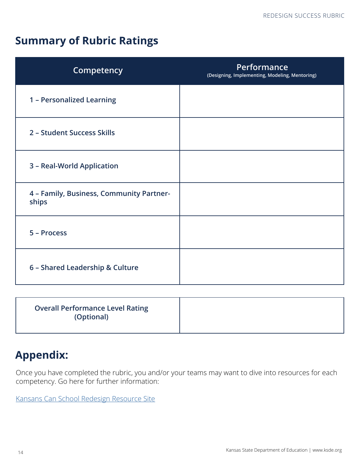#### **Summary of Rubric Ratings**

| Competency                                        | Performance<br>(Designing, Implementing, Modeling, Mentoring) |  |
|---------------------------------------------------|---------------------------------------------------------------|--|
| 1 - Personalized Learning                         |                                                               |  |
| 2 - Student Success Skills                        |                                                               |  |
| 3 - Real-World Application                        |                                                               |  |
| 4 - Family, Business, Community Partner-<br>ships |                                                               |  |
| 5 - Process                                       |                                                               |  |
| 6 - Shared Leadership & Culture                   |                                                               |  |

| <b>Overall Performance Level Rating</b><br>(Optional) |  |
|-------------------------------------------------------|--|
|                                                       |  |

### **Appendix:**

Once you have completed the rubric, you and/or your teams may want to dive into resources for each competency. Go here for further information:

[Kansans Can School Redesign Resource Site](https://sites.google.com/view/ksredesignproject/home-page?authuser=0)